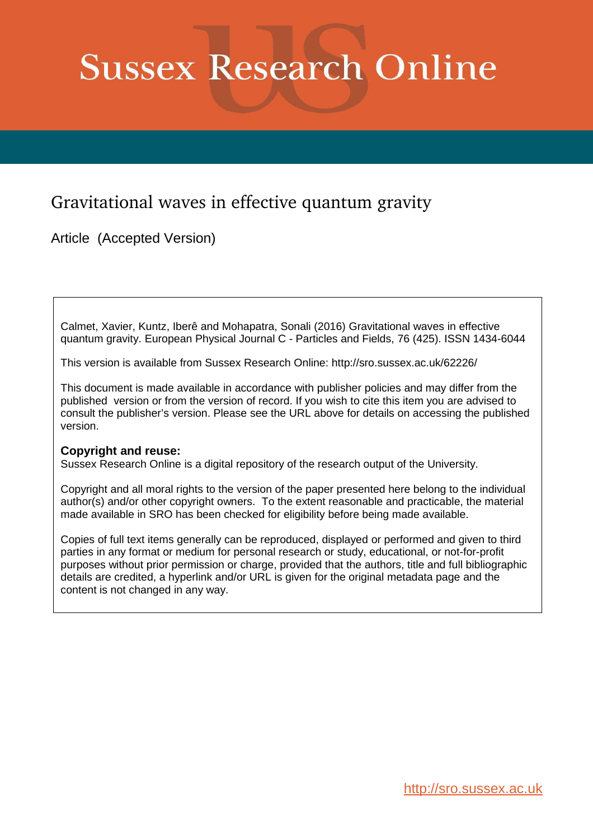# **Sussex Research Online**

## Gravitational waves in effective quantum gravity

Article (Accepted Version)

Calmet, Xavier, Kuntz, Iberê and Mohapatra, Sonali (2016) Gravitational waves in effective quantum gravity. European Physical Journal C - Particles and Fields, 76 (425). ISSN 1434-6044

This version is available from Sussex Research Online: http://sro.sussex.ac.uk/62226/

This document is made available in accordance with publisher policies and may differ from the published version or from the version of record. If you wish to cite this item you are advised to consult the publisher's version. Please see the URL above for details on accessing the published version.

#### **Copyright and reuse:**

Sussex Research Online is a digital repository of the research output of the University.

Copyright and all moral rights to the version of the paper presented here belong to the individual author(s) and/or other copyright owners. To the extent reasonable and practicable, the material made available in SRO has been checked for eligibility before being made available.

Copies of full text items generally can be reproduced, displayed or performed and given to third parties in any format or medium for personal research or study, educational, or not-for-profit purposes without prior permission or charge, provided that the authors, title and full bibliographic details are credited, a hyperlink and/or URL is given for the original metadata page and the content is not changed in any way.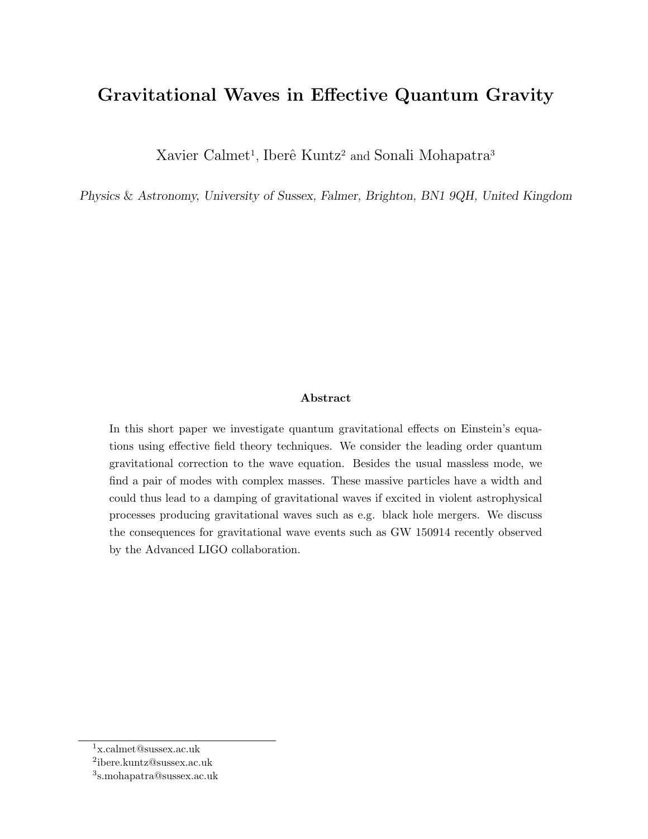## Gravitational Waves in Effective Quantum Gravity

Xavier Calmet<sup>1</sup>, Iberê Kuntz<sup>2</sup> and Sonali Mohapatra<sup>3</sup>

Physics & Astronomy, University of Sussex, Falmer, Brighton, BN1 9QH, United Kingdom

#### Abstract

In this short paper we investigate quantum gravitational effects on Einstein's equations using effective field theory techniques. We consider the leading order quantum gravitational correction to the wave equation. Besides the usual massless mode, we find a pair of modes with complex masses. These massive particles have a width and could thus lead to a damping of gravitational waves if excited in violent astrophysical processes producing gravitational waves such as e.g. black hole mergers. We discuss the consequences for gravitational wave events such as GW 150914 recently observed by the Advanced LIGO collaboration.

<sup>1</sup>x.calmet@sussex.ac.uk

<sup>2</sup> ibere.kuntz@sussex.ac.uk

<sup>3</sup> s.mohapatra@sussex.ac.uk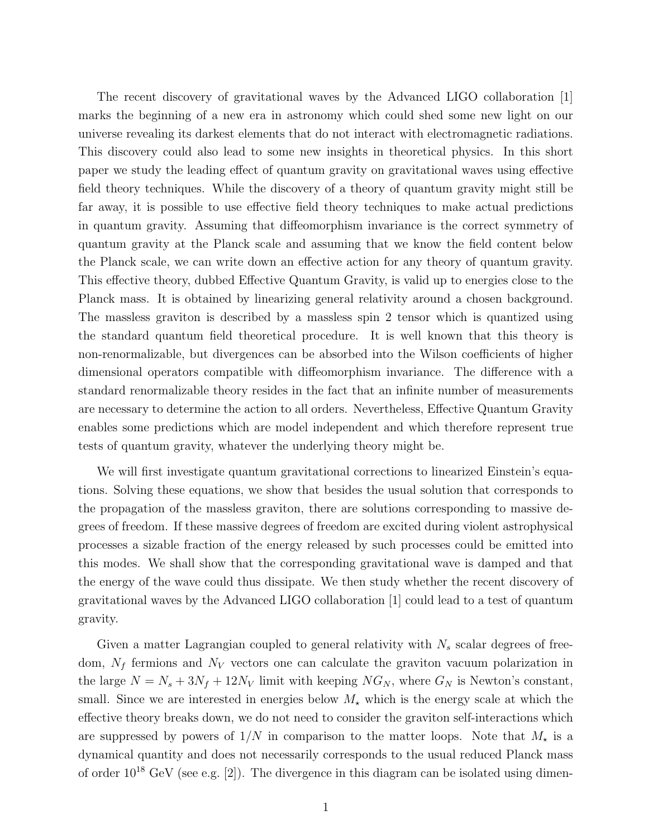The recent discovery of gravitational waves by the Advanced LIGO collaboration [1] marks the beginning of a new era in astronomy which could shed some new light on our universe revealing its darkest elements that do not interact with electromagnetic radiations. This discovery could also lead to some new insights in theoretical physics. In this short paper we study the leading effect of quantum gravity on gravitational waves using effective field theory techniques. While the discovery of a theory of quantum gravity might still be far away, it is possible to use effective field theory techniques to make actual predictions in quantum gravity. Assuming that diffeomorphism invariance is the correct symmetry of quantum gravity at the Planck scale and assuming that we know the field content below the Planck scale, we can write down an effective action for any theory of quantum gravity. This effective theory, dubbed Effective Quantum Gravity, is valid up to energies close to the Planck mass. It is obtained by linearizing general relativity around a chosen background. The massless graviton is described by a massless spin 2 tensor which is quantized using the standard quantum field theoretical procedure. It is well known that this theory is non-renormalizable, but divergences can be absorbed into the Wilson coefficients of higher dimensional operators compatible with diffeomorphism invariance. The difference with a standard renormalizable theory resides in the fact that an infinite number of measurements are necessary to determine the action to all orders. Nevertheless, Effective Quantum Gravity enables some predictions which are model independent and which therefore represent true tests of quantum gravity, whatever the underlying theory might be.

We will first investigate quantum gravitational corrections to linearized Einstein's equations. Solving these equations, we show that besides the usual solution that corresponds to the propagation of the massless graviton, there are solutions corresponding to massive degrees of freedom. If these massive degrees of freedom are excited during violent astrophysical processes a sizable fraction of the energy released by such processes could be emitted into this modes. We shall show that the corresponding gravitational wave is damped and that the energy of the wave could thus dissipate. We then study whether the recent discovery of gravitational waves by the Advanced LIGO collaboration [1] could lead to a test of quantum gravity.

Given a matter Lagrangian coupled to general relativity with  $N_s$  scalar degrees of freedom,  $N_f$  fermions and  $N_V$  vectors one can calculate the graviton vacuum polarization in the large  $N = N_s + 3N_f + 12N_V$  limit with keeping  $NG_N$ , where  $G_N$  is Newton's constant, small. Since we are interested in energies below  $M_{\star}$  which is the energy scale at which the effective theory breaks down, we do not need to consider the graviton self-interactions which are suppressed by powers of  $1/N$  in comparison to the matter loops. Note that  $M_{\star}$  is a dynamical quantity and does not necessarily corresponds to the usual reduced Planck mass of order  $10^{18}$  GeV (see e.g. [2]). The divergence in this diagram can be isolated using dimen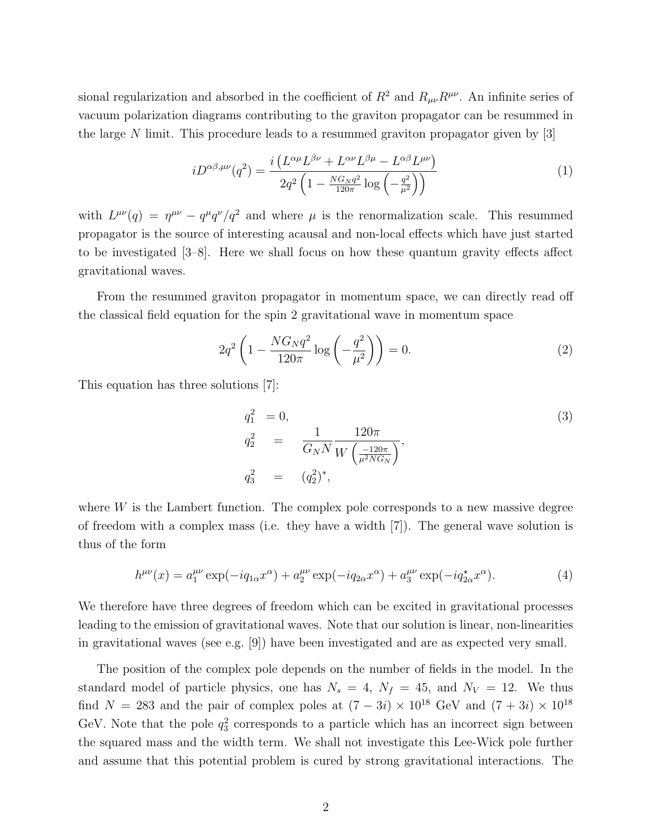sional regularization and absorbed in the coefficient of  $R^2$  and  $R_{\mu\nu}R^{\mu\nu}$ . An infinite series of vacuum polarization diagrams contributing to the graviton propagator can be resummed in the large N limit. This procedure leads to a resummed graviton propagator given by  $|3|$ 

$$
iD^{\alpha\beta,\mu\nu}(q^2) = \frac{i\left(L^{\alpha\mu}L^{\beta\nu} + L^{\alpha\nu}L^{\beta\mu} - L^{\alpha\beta}L^{\mu\nu}\right)}{2q^2\left(1 - \frac{N G_N q^2}{120\pi}\log\left(-\frac{q^2}{\mu^2}\right)\right)}
$$
(1)

with  $L^{\mu\nu}(q) = \eta^{\mu\nu} - q^{\mu}q^{\nu}/q^2$  and where  $\mu$  is the renormalization scale. This resummed propagator is the source of interesting acausal and non-local effects which have just started to be investigated [3–8]. Here we shall focus on how these quantum gravity effects affect gravitational waves.

From the resummed graviton propagator in momentum space, we can directly read off the classical field equation for the spin 2 gravitational wave in momentum space

$$
2q^{2} \left( 1 - \frac{NG_{N}q^{2}}{120\pi} \log \left( -\frac{q^{2}}{\mu^{2}} \right) \right) = 0.
$$
 (2)

This equation has three solutions [7]:

$$
q_1^2 = 0,
$$
  
\n
$$
q_2^2 = \frac{1}{G_N N} \frac{120\pi}{W \left(\frac{-120\pi}{\mu^2 N G_N}\right)},
$$
  
\n
$$
q_3^2 = (q_2^2)^*,
$$
\n(3)

where  $W$  is the Lambert function. The complex pole corresponds to a new massive degree of freedom with a complex mass (i.e. they have a width [7]). The general wave solution is thus of the form

$$
h^{\mu\nu}(x) = a_1^{\mu\nu} \exp(-iq_{1\alpha}x^{\alpha}) + a_2^{\mu\nu} \exp(-iq_{2\alpha}x^{\alpha}) + a_3^{\mu\nu} \exp(-iq_{2\alpha}^*x^{\alpha}).
$$
 (4)

We therefore have three degrees of freedom which can be excited in gravitational processes leading to the emission of gravitational waves. Note that our solution is linear, non-linearities in gravitational waves (see e.g. [9]) have been investigated and are as expected very small.

The position of the complex pole depends on the number of fields in the model. In the standard model of particle physics, one has  $N_s = 4$ ,  $N_f = 45$ , and  $N_V = 12$ . We thus find  $N = 283$  and the pair of complex poles at  $(7 - 3i) \times 10^{18}$  GeV and  $(7 + 3i) \times 10^{18}$ GeV. Note that the pole  $q_3^2$  corresponds to a particle which has an incorrect sign between the squared mass and the width term. We shall not investigate this Lee-Wick pole further and assume that this potential problem is cured by strong gravitational interactions. The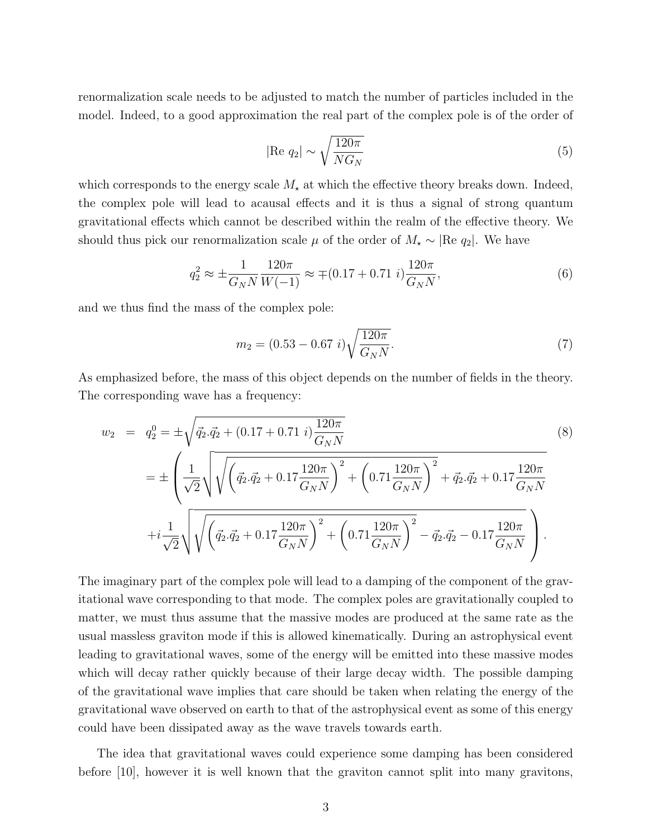renormalization scale needs to be adjusted to match the number of particles included in the model. Indeed, to a good approximation the real part of the complex pole is of the order of

$$
|\text{Re } q_2| \sim \sqrt{\frac{120\pi}{NG_N}} \tag{5}
$$

which corresponds to the energy scale  $M_{\star}$  at which the effective theory breaks down. Indeed, the complex pole will lead to acausal effects and it is thus a signal of strong quantum gravitational effects which cannot be described within the realm of the effective theory. We should thus pick our renormalization scale  $\mu$  of the order of  $M_{\star} \sim |\text{Re } q_2|$ . We have

$$
q_2^2 \approx \pm \frac{1}{G_N N} \frac{120\pi}{W(-1)} \approx \mp (0.17 + 0.71 \ i) \frac{120\pi}{G_N N},\tag{6}
$$

and we thus find the mass of the complex pole:

$$
m_2 = (0.53 - 0.67 \ i) \sqrt{\frac{120\pi}{G_N N}}.\tag{7}
$$

As emphasized before, the mass of this object depends on the number of fields in the theory. The corresponding wave has a frequency:

$$
w_2 = q_2^0 = \pm \sqrt{\vec{q}_2 \cdot \vec{q}_2 + (0.17 + 0.71 \ i) \frac{120\pi}{G_N N}} = \pm \left( \frac{1}{\sqrt{2}} \sqrt{\sqrt{\left(\vec{q}_2 \cdot \vec{q}_2 + 0.17 \frac{120\pi}{G_N N}\right)^2 + \left(0.71 \frac{120\pi}{G_N N}\right)^2 + \vec{q}_2 \cdot \vec{q}_2 + 0.17 \frac{120\pi}{G_N N}} \right) + i \frac{1}{\sqrt{2}} \sqrt{\sqrt{\left(\vec{q}_2 \cdot \vec{q}_2 + 0.17 \frac{120\pi}{G_N N}\right)^2 + \left(0.71 \frac{120\pi}{G_N N}\right)^2 - \vec{q}_2 \cdot \vec{q}_2 - 0.17 \frac{120\pi}{G_N N}} }.
$$
(8)

The imaginary part of the complex pole will lead to a damping of the component of the gravitational wave corresponding to that mode. The complex poles are gravitationally coupled to matter, we must thus assume that the massive modes are produced at the same rate as the usual massless graviton mode if this is allowed kinematically. During an astrophysical event leading to gravitational waves, some of the energy will be emitted into these massive modes which will decay rather quickly because of their large decay width. The possible damping of the gravitational wave implies that care should be taken when relating the energy of the gravitational wave observed on earth to that of the astrophysical event as some of this energy could have been dissipated away as the wave travels towards earth.

The idea that gravitational waves could experience some damping has been considered before [10], however it is well known that the graviton cannot split into many gravitons,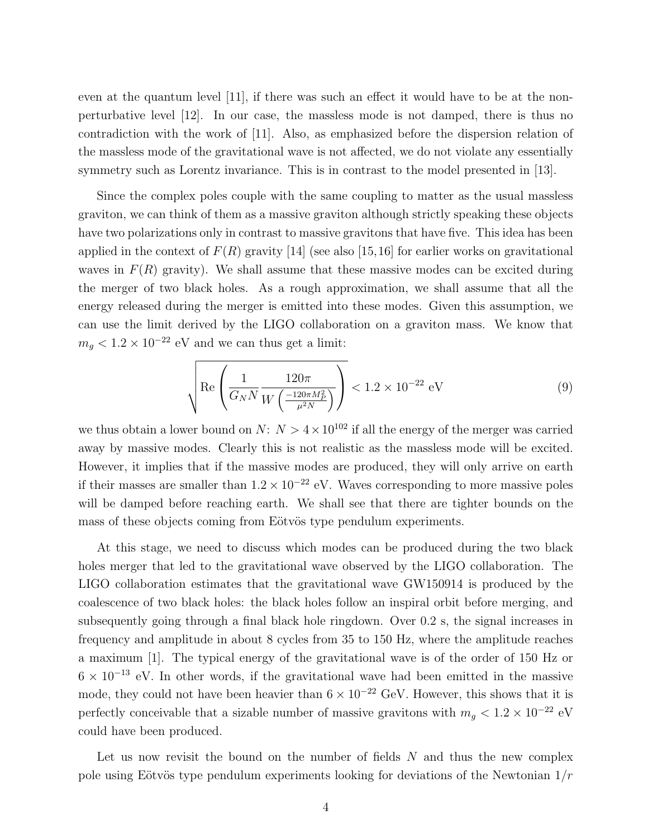even at the quantum level [11], if there was such an effect it would have to be at the nonperturbative level [12]. In our case, the massless mode is not damped, there is thus no contradiction with the work of [11]. Also, as emphasized before the dispersion relation of the massless mode of the gravitational wave is not affected, we do not violate any essentially symmetry such as Lorentz invariance. This is in contrast to the model presented in [13].

Since the complex poles couple with the same coupling to matter as the usual massless graviton, we can think of them as a massive graviton although strictly speaking these objects have two polarizations only in contrast to massive gravitons that have five. This idea has been applied in the context of  $F(R)$  gravity [14] (see also [15,16] for earlier works on gravitational waves in  $F(R)$  gravity). We shall assume that these massive modes can be excited during the merger of two black holes. As a rough approximation, we shall assume that all the energy released during the merger is emitted into these modes. Given this assumption, we can use the limit derived by the LIGO collaboration on a graviton mass. We know that  $m_g < 1.2 \times 10^{-22}$  eV and we can thus get a limit:

$$
\sqrt{\text{Re}\left(\frac{1}{G_N N} \frac{120\pi}{W\left(\frac{-120\pi M_P^2}{\mu^2 N}\right)}\right)} < 1.2 \times 10^{-22} \text{ eV}
$$
 (9)

we thus obtain a lower bound on  $N: N > 4 \times 10^{102}$  if all the energy of the merger was carried away by massive modes. Clearly this is not realistic as the massless mode will be excited. However, it implies that if the massive modes are produced, they will only arrive on earth if their masses are smaller than  $1.2 \times 10^{-22}$  eV. Waves corresponding to more massive poles will be damped before reaching earth. We shall see that there are tighter bounds on the mass of these objects coming from Eötvös type pendulum experiments.

At this stage, we need to discuss which modes can be produced during the two black holes merger that led to the gravitational wave observed by the LIGO collaboration. The LIGO collaboration estimates that the gravitational wave GW150914 is produced by the coalescence of two black holes: the black holes follow an inspiral orbit before merging, and subsequently going through a final black hole ringdown. Over 0.2 s, the signal increases in frequency and amplitude in about 8 cycles from 35 to 150 Hz, where the amplitude reaches a maximum [1]. The typical energy of the gravitational wave is of the order of 150 Hz or  $6 \times 10^{-13}$  eV. In other words, if the gravitational wave had been emitted in the massive mode, they could not have been heavier than  $6 \times 10^{-22}$  GeV. However, this shows that it is perfectly conceivable that a sizable number of massive gravitons with  $m_g < 1.2 \times 10^{-22}$  eV could have been produced.

Let us now revisit the bound on the number of fields  $N$  and thus the new complex pole using Eötvös type pendulum experiments looking for deviations of the Newtonian  $1/r$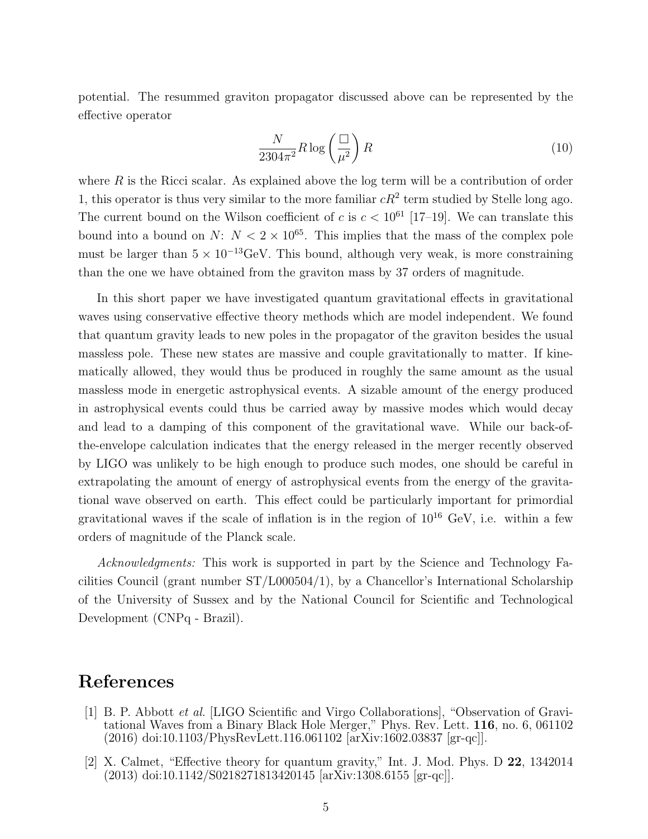potential. The resummed graviton propagator discussed above can be represented by the effective operator

$$
\frac{N}{2304\pi^2} R \log\left(\frac{\Box}{\mu^2}\right) R\tag{10}
$$

where  $R$  is the Ricci scalar. As explained above the log term will be a contribution of order 1, this operator is thus very similar to the more familiar  $cR^2$  term studied by Stelle long ago. The current bound on the Wilson coefficient of c is  $c < 10^{61}$  [17–19]. We can translate this bound into a bound on  $N: N < 2 \times 10^{65}$ . This implies that the mass of the complex pole must be larger than  $5 \times 10^{-13}$ GeV. This bound, although very weak, is more constraining than the one we have obtained from the graviton mass by 37 orders of magnitude.

In this short paper we have investigated quantum gravitational effects in gravitational waves using conservative effective theory methods which are model independent. We found that quantum gravity leads to new poles in the propagator of the graviton besides the usual massless pole. These new states are massive and couple gravitationally to matter. If kinematically allowed, they would thus be produced in roughly the same amount as the usual massless mode in energetic astrophysical events. A sizable amount of the energy produced in astrophysical events could thus be carried away by massive modes which would decay and lead to a damping of this component of the gravitational wave. While our back-ofthe-envelope calculation indicates that the energy released in the merger recently observed by LIGO was unlikely to be high enough to produce such modes, one should be careful in extrapolating the amount of energy of astrophysical events from the energy of the gravitational wave observed on earth. This effect could be particularly important for primordial gravitational waves if the scale of inflation is in the region of  $10^{16}$  GeV, i.e. within a few orders of magnitude of the Planck scale.

*Acknowledgments:* This work is supported in part by the Science and Technology Facilities Council (grant number ST/L000504/1), by a Chancellor's International Scholarship of the University of Sussex and by the National Council for Scientific and Technological Development (CNPq - Brazil).

## References

- [1] B. P. Abbott *et al.* [LIGO Scientific and Virgo Collaborations], "Observation of Gravitational Waves from a Binary Black Hole Merger," Phys. Rev. Lett. 116, no. 6, 061102 (2016) doi:10.1103/PhysRevLett.116.061102 [arXiv:1602.03837 [gr-qc]].
- [2] X. Calmet, "Effective theory for quantum gravity," Int. J. Mod. Phys. D 22, 1342014 (2013) doi:10.1142/S0218271813420145 [arXiv:1308.6155 [gr-qc]].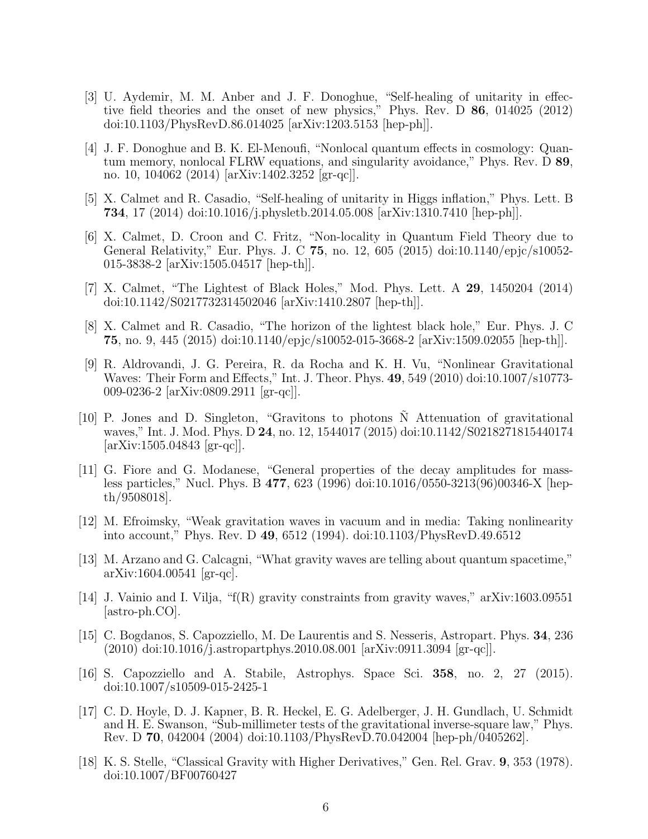- [3] U. Aydemir, M. M. Anber and J. F. Donoghue, "Self-healing of unitarity in effective field theories and the onset of new physics," Phys. Rev. D 86, 014025 (2012) doi:10.1103/PhysRevD.86.014025 [arXiv:1203.5153 [hep-ph]].
- [4] J. F. Donoghue and B. K. El-Menoufi, "Nonlocal quantum effects in cosmology: Quantum memory, nonlocal FLRW equations, and singularity avoidance," Phys. Rev. D 89, no. 10, 104062 (2014) [arXiv:1402.3252 [gr-qc]].
- [5] X. Calmet and R. Casadio, "Self-healing of unitarity in Higgs inflation," Phys. Lett. B 734, 17 (2014) doi:10.1016/j.physletb.2014.05.008 [arXiv:1310.7410 [hep-ph]].
- [6] X. Calmet, D. Croon and C. Fritz, "Non-locality in Quantum Field Theory due to General Relativity," Eur. Phys. J. C 75, no. 12, 605 (2015) doi:10.1140/epjc/s10052- 015-3838-2 [arXiv:1505.04517 [hep-th]].
- [7] X. Calmet, "The Lightest of Black Holes," Mod. Phys. Lett. A 29, 1450204 (2014) doi:10.1142/S0217732314502046 [arXiv:1410.2807 [hep-th]].
- [8] X. Calmet and R. Casadio, "The horizon of the lightest black hole," Eur. Phys. J. C 75, no. 9, 445 (2015) doi:10.1140/epjc/s10052-015-3668-2 [arXiv:1509.02055 [hep-th]].
- [9] R. Aldrovandi, J. G. Pereira, R. da Rocha and K. H. Vu, "Nonlinear Gravitational Waves: Their Form and Effects," Int. J. Theor. Phys. 49, 549 (2010) doi:10.1007/s10773- 009-0236-2 [arXiv:0809.2911 [gr-qc]].
- [10] P. Jones and D. Singleton, "Gravitons to photons  $\tilde{N}$  Attenuation of gravitational waves," Int. J. Mod. Phys. D 24, no. 12, 1544017 (2015) doi:10.1142/S0218271815440174 [arXiv:1505.04843 [gr-qc]].
- [11] G. Fiore and G. Modanese, "General properties of the decay amplitudes for massless particles," Nucl. Phys. B 477, 623 (1996) doi:10.1016/0550-3213(96)00346-X [hepth/9508018].
- [12] M. Efroimsky, "Weak gravitation waves in vacuum and in media: Taking nonlinearity into account," Phys. Rev. D 49, 6512 (1994). doi:10.1103/PhysRevD.49.6512
- [13] M. Arzano and G. Calcagni, "What gravity waves are telling about quantum spacetime," arXiv:1604.00541 [gr-qc].
- [14] J. Vainio and I. Vilja, "f(R) gravity constraints from gravity waves," arXiv:1603.09551 [astro-ph.CO].
- [15] C. Bogdanos, S. Capozziello, M. De Laurentis and S. Nesseris, Astropart. Phys. 34, 236 (2010) doi:10.1016/j.astropartphys.2010.08.001 [arXiv:0911.3094 [gr-qc]].
- [16] S. Capozziello and A. Stabile, Astrophys. Space Sci. 358, no. 2, 27 (2015). doi:10.1007/s10509-015-2425-1
- [17] C. D. Hoyle, D. J. Kapner, B. R. Heckel, E. G. Adelberger, J. H. Gundlach, U. Schmidt and H. E. Swanson, "Sub-millimeter tests of the gravitational inverse-square law," Phys. Rev. D 70, 042004 (2004) doi:10.1103/PhysRevD.70.042004 [hep-ph/0405262].
- [18] K. S. Stelle, "Classical Gravity with Higher Derivatives," Gen. Rel. Grav. 9, 353 (1978). doi:10.1007/BF00760427